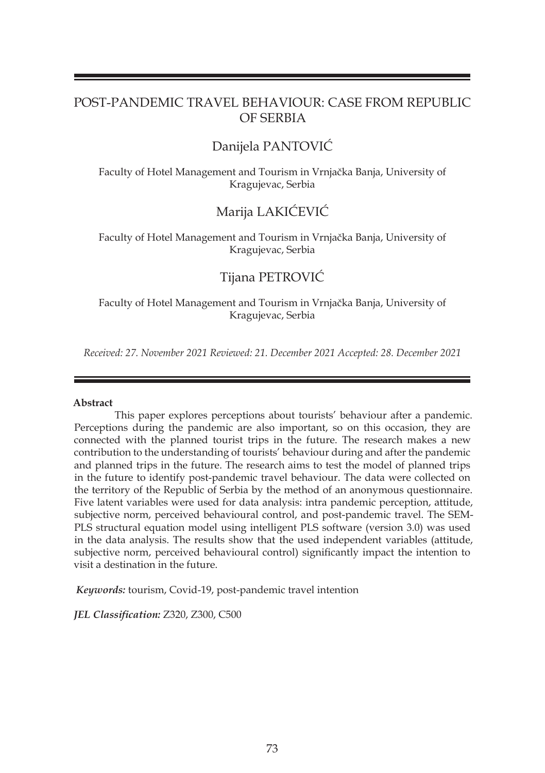## POST-PANDEMIC TRAVEL BEHAVIOUR: CASE FROM REPUBLIC OF SERBIA

# Danijela PANTOVIĆ

Faculty of Hotel Management and Tourism in Vrnjačka Banja, University of Kragujevac, Serbia

## Marija LAKIĆEVIĆ

Faculty of Hotel Management and Tourism in Vrnjačka Banja, University of Kragujevac, Serbia

## Tijana PETROVIĆ

Faculty of Hotel Management and Tourism in Vrnjačka Banja, University of Kragujevac, Serbia

*Received: 27. November 2021 Reviewed: 21. December 2021 Accepted: 28. December 2021*

#### **Abstract**

 This paper explores perceptions about tourists' behaviour after a pandemic. Perceptions during the pandemic are also important, so on this occasion, they are connected with the planned tourist trips in the future. The research makes a new contribution to the understanding of tourists' behaviour during and after the pandemic and planned trips in the future. The research aims to test the model of planned trips in the future to identify post-pandemic travel behaviour. The data were collected on the territory of the Republic of Serbia by the method of an anonymous questionnaire. Five latent variables were used for data analysis: intra pandemic perception, attitude, subjective norm, perceived behavioural control, and post-pandemic travel. The SEM-PLS structural equation model using intelligent PLS software (version 3.0) was used in the data analysis. The results show that the used independent variables (attitude, subjective norm, perceived behavioural control) significantly impact the intention to visit a destination in the future.

*Keywords:* tourism, Covid-19, post-pandemic travel intention

*JEL Classification:* Z320, Z300, C500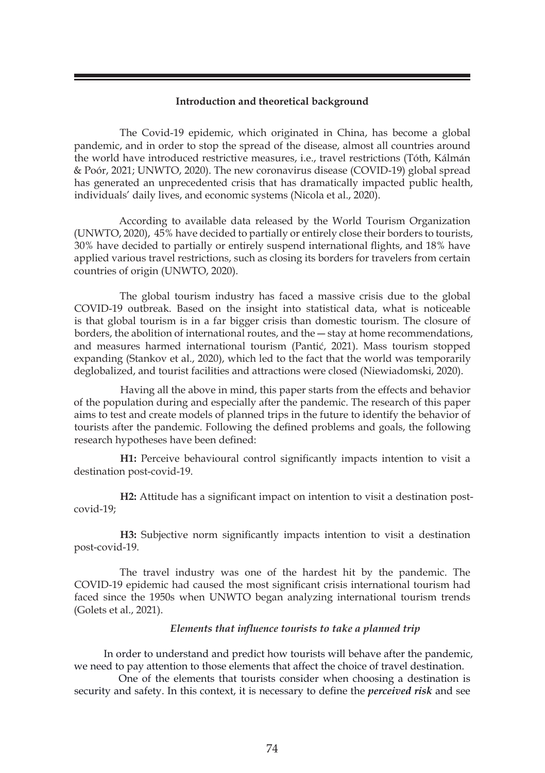## **Introduction and theoretical background**

The Covid-19 epidemic, which originated in China, has become a global pandemic, and in order to stop the spread of the disease, almost all countries around the world have introduced restrictive measures, i.e., travel restrictions (Tóth, Kálmán & Poór, 2021; UNWTO, 2020). The new coronavirus disease (COVID-19) global spread has generated an unprecedented crisis that has dramatically impacted public health, individuals' daily lives, and economic systems (Nicola et al., 2020).

According to available data released by the World Tourism Organization (UNWTO, 2020), 45% have decided to partially or entirely close their borders to tourists, 30% have decided to partially or entirely suspend international flights, and 18% have applied various travel restrictions, such as closing its borders for travelers from certain countries of origin (UNWTO, 2020).

The global tourism industry has faced a massive crisis due to the global COVID-19 outbreak. Based on the insight into statistical data, what is noticeable is that global tourism is in a far bigger crisis than domestic tourism. The closure of borders, the abolition of international routes, and the — stay at home recommendations, and measures harmed international tourism (Pantić, 2021). Mass tourism stopped expanding (Stankov et al., 2020), which led to the fact that the world was temporarily deglobalized, and tourist facilities and attractions were closed (Niewiadomski, 2020).

Having all the above in mind, this paper starts from the effects and behavior of the population during and especially after the pandemic. The research of this paper aims to test and create models of planned trips in the future to identify the behavior of tourists after the pandemic. Following the defined problems and goals, the following research hypotheses have been defined:

**H1:** Perceive behavioural control significantly impacts intention to visit a destination post-covid-19.

**H2:** Attitude has a significant impact on intention to visit a destination postcovid-19;

**H3:** Subjective norm significantly impacts intention to visit a destination post-covid-19.

The travel industry was one of the hardest hit by the pandemic. The COVID-19 epidemic had caused the most significant crisis international tourism had faced since the 1950s when UNWTO began analyzing international tourism trends (Golets et al., 2021).

#### *Elements that influence tourists to take a planned trip*

 In order to understand and predict how tourists will behave after the pandemic, we need to pay attention to those elements that affect the choice of travel destination.

 One of the elements that tourists consider when choosing a destination is security and safety. In this context, it is necessary to define the *perceived risk* and see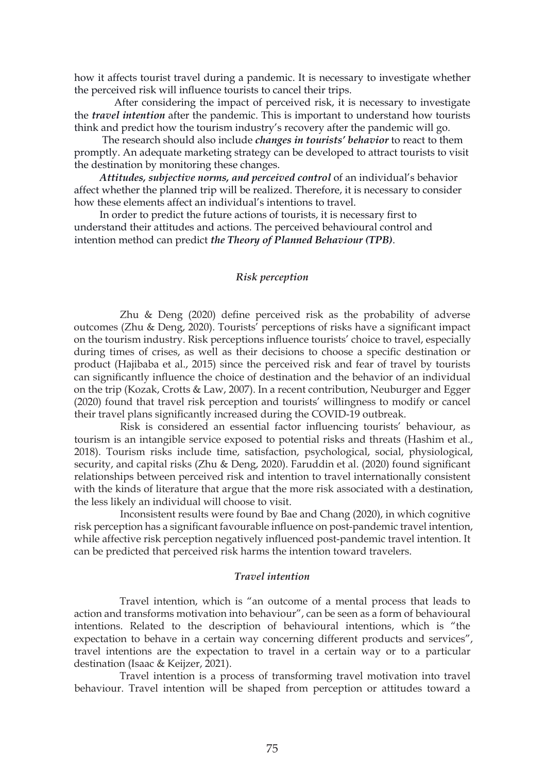how it affects tourist travel during a pandemic. It is necessary to investigate whether the perceived risk will influence tourists to cancel their trips.

 After considering the impact of perceived risk, it is necessary to investigate the *travel intention* after the pandemic. This is important to understand how tourists think and predict how the tourism industry's recovery after the pandemic will go.

 The research should also include *changes in tourists' behavior* to react to them promptly. An adequate marketing strategy can be developed to attract tourists to visit the destination by monitoring these changes.

 *Attitudes, subjective norms, and perceived control* of an individual's behavior affect whether the planned trip will be realized. Therefore, it is necessary to consider how these elements affect an individual's intentions to travel.

 In order to predict the future actions of tourists, it is necessary first to understand their attitudes and actions. The perceived behavioural control and intention method can predict *the Theory of Planned Behaviour (TPB)*.

## *Risk perception*

Zhu & Deng (2020) define perceived risk as the probability of adverse outcomes (Zhu & Deng, 2020). Tourists' perceptions of risks have a significant impact on the tourism industry. Risk perceptions influence tourists' choice to travel, especially during times of crises, as well as their decisions to choose a specific destination or product (Hajibaba et al., 2015) since the perceived risk and fear of travel by tourists can significantly influence the choice of destination and the behavior of an individual on the trip (Kozak, Crotts & Law, 2007). In a recent contribution, Neuburger and Egger (2020) found that travel risk perception and tourists' willingness to modify or cancel their travel plans significantly increased during the COVID-19 outbreak.

Risk is considered an essential factor influencing tourists' behaviour, as tourism is an intangible service exposed to potential risks and threats (Hashim et al., 2018). Tourism risks include time, satisfaction, psychological, social, physiological, security, and capital risks (Zhu & Deng, 2020). Faruddin et al. (2020) found significant relationships between perceived risk and intention to travel internationally consistent with the kinds of literature that argue that the more risk associated with a destination, the less likely an individual will choose to visit.

Inconsistent results were found by Bae and Chang (2020), in which cognitive risk perception has a significant favourable influence on post-pandemic travel intention, while affective risk perception negatively influenced post-pandemic travel intention. It can be predicted that perceived risk harms the intention toward travelers.

#### *Travel intention*

Travel intention, which is "an outcome of a mental process that leads to action and transforms motivation into behaviour", can be seen as a form of behavioural intentions. Related to the description of behavioural intentions, which is "the expectation to behave in a certain way concerning different products and services", travel intentions are the expectation to travel in a certain way or to a particular destination (Isaac & Keijzer, 2021).

Travel intention is a process of transforming travel motivation into travel behaviour. Travel intention will be shaped from perception or attitudes toward a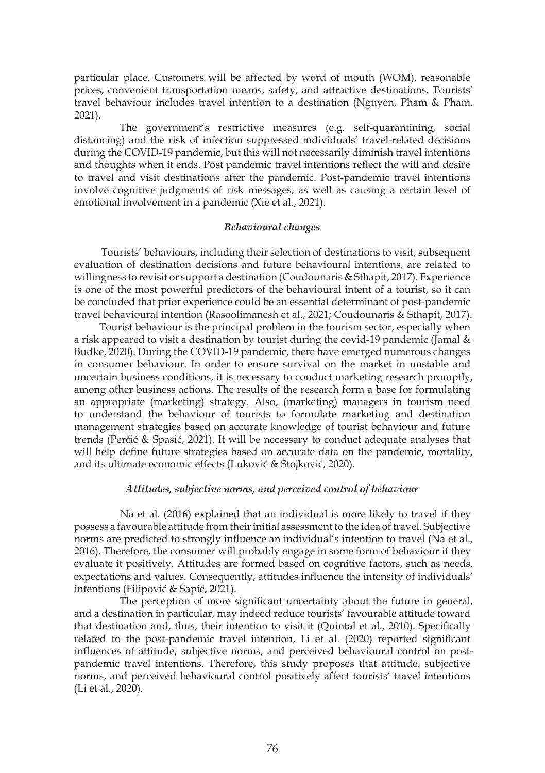particular place. Customers will be affected by word of mouth (WOM), reasonable prices, convenient transportation means, safety, and attractive destinations. Tourists' travel behaviour includes travel intention to a destination (Nguyen, Pham & Pham, 2021).

The government's restrictive measures (e.g. self-quarantining, social distancing) and the risk of infection suppressed individuals' travel-related decisions during the COVID-19 pandemic, but this will not necessarily diminish travel intentions and thoughts when it ends. Post pandemic travel intentions reflect the will and desire to travel and visit destinations after the pandemic. Post-pandemic travel intentions involve cognitive judgments of risk messages, as well as causing a certain level of emotional involvement in a pandemic (Xie et al., 2021).

## *Behavioural changes*

 Tourists' behaviours, including their selection of destinations to visit, subsequent evaluation of destination decisions and future behavioural intentions, are related to willingness to revisit or support a destination (Coudounaris & Sthapit, 2017). Experience is one of the most powerful predictors of the behavioural intent of a tourist, so it can be concluded that prior experience could be an essential determinant of post-pandemic travel behavioural intention (Rasoolimanesh et al., 2021; Coudounaris & Sthapit, 2017).

 Tourist behaviour is the principal problem in the tourism sector, especially when a risk appeared to visit a destination by tourist during the covid-19 pandemic (Jamal & Budke, 2020). During the COVID-19 pandemic, there have emerged numerous changes in consumer behaviour. In order to ensure survival on the market in unstable and uncertain business conditions, it is necessary to conduct marketing research promptly, among other business actions. The results of the research form a base for formulating an appropriate (marketing) strategy. Also, (marketing) managers in tourism need to understand the behaviour of tourists to formulate marketing and destination management strategies based on accurate knowledge of tourist behaviour and future trends (Perčić & Spasić, 2021). It will be necessary to conduct adequate analyses that will help define future strategies based on accurate data on the pandemic, mortality, and its ultimate economic effects (Luković & Stojković, 2020).

#### *Attitudes, subjective norms, and perceived control of behaviour*

Na et al. (2016) explained that an individual is more likely to travel if they possess a favourable attitude from their initial assessment to the idea of travel. Subjective norms are predicted to strongly influence an individual's intention to travel (Na et al., 2016). Therefore, the consumer will probably engage in some form of behaviour if they evaluate it positively. Attitudes are formed based on cognitive factors, such as needs, expectations and values. Consequently, attitudes influence the intensity of individuals' intentions (Filipović & Šapić, 2021).

The perception of more significant uncertainty about the future in general, and a destination in particular, may indeed reduce tourists' favourable attitude toward that destination and, thus, their intention to visit it (Quintal et al., 2010). Specifically related to the post-pandemic travel intention, Li et al. (2020) reported significant influences of attitude, subjective norms, and perceived behavioural control on postpandemic travel intentions. Therefore, this study proposes that attitude, subjective norms, and perceived behavioural control positively affect tourists' travel intentions (Li et al., 2020).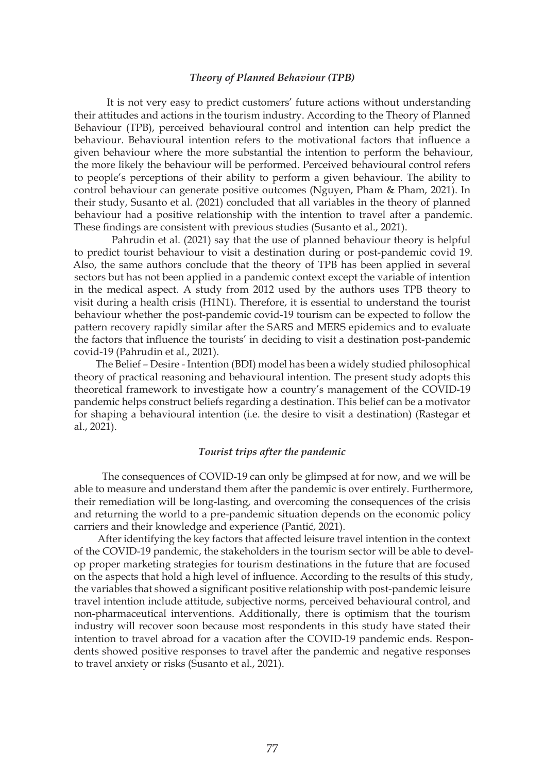#### *Theory of Planned Behaviour (TPB)*

 It is not very easy to predict customers' future actions without understanding their attitudes and actions in the tourism industry. According to the Theory of Planned Behaviour (TPB), perceived behavioural control and intention can help predict the behaviour. Behavioural intention refers to the motivational factors that influence a given behaviour where the more substantial the intention to perform the behaviour, the more likely the behaviour will be performed. Perceived behavioural control refers to people's perceptions of their ability to perform a given behaviour. The ability to control behaviour can generate positive outcomes (Nguyen, Pham & Pham, 2021). In their study, Susanto et al. (2021) concluded that all variables in the theory of planned behaviour had a positive relationship with the intention to travel after a pandemic. These findings are consistent with previous studies (Susanto et al., 2021).

 Pahrudin et al. (2021) say that the use of planned behaviour theory is helpful to predict tourist behaviour to visit a destination during or post-pandemic covid 19. Also, the same authors conclude that the theory of TPB has been applied in several sectors but has not been applied in a pandemic context except the variable of intention in the medical aspect. A study from 2012 used by the authors uses TPB theory to visit during a health crisis (H1N1). Therefore, it is essential to understand the tourist behaviour whether the post-pandemic covid-19 tourism can be expected to follow the pattern recovery rapidly similar after the SARS and MERS epidemics and to evaluate the factors that influence the tourists' in deciding to visit a destination post-pandemic covid-19 (Pahrudin et al., 2021).

 The Belief – Desire - Intention (BDI) model has been a widely studied philosophical theory of practical reasoning and behavioural intention. The present study adopts this theoretical framework to investigate how a country's management of the COVID-19 pandemic helps construct beliefs regarding a destination. This belief can be a motivator for shaping a behavioural intention (i.e. the desire to visit a destination) (Rastegar et al., 2021).

## *Tourist trips after the pandemic*

 The consequences of COVID-19 can only be glimpsed at for now, and we will be able to measure and understand them after the pandemic is over entirely. Furthermore, their remediation will be long-lasting, and overcoming the consequences of the crisis and returning the world to a pre-pandemic situation depends on the economic policy carriers and their knowledge and experience (Pantić, 2021).

 After identifying the key factors that affected leisure travel intention in the context of the COVID-19 pandemic, the stakeholders in the tourism sector will be able to develop proper marketing strategies for tourism destinations in the future that are focused on the aspects that hold a high level of influence. According to the results of this study, the variables that showed a significant positive relationship with post-pandemic leisure travel intention include attitude, subjective norms, perceived behavioural control, and non-pharmaceutical interventions. Additionally, there is optimism that the tourism industry will recover soon because most respondents in this study have stated their intention to travel abroad for a vacation after the COVID-19 pandemic ends. Respondents showed positive responses to travel after the pandemic and negative responses to travel anxiety or risks (Susanto et al., 2021).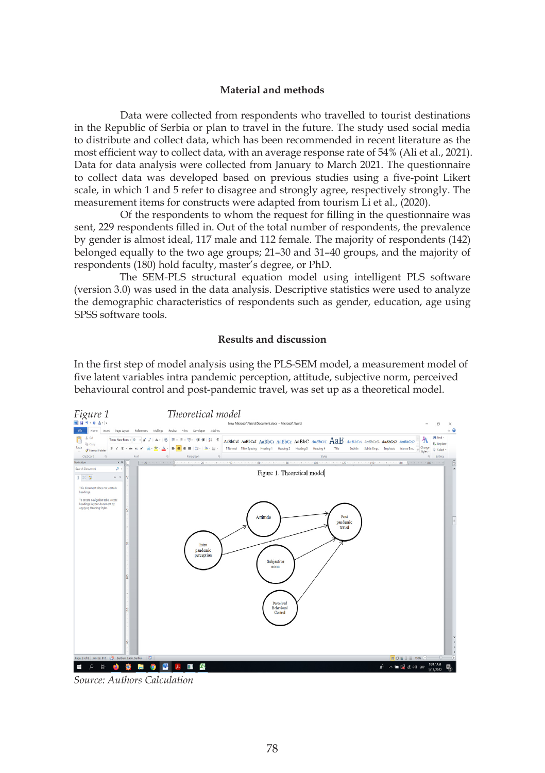#### **Material and methods**

Data were collected from respondents who travelled to tourist destinations in the Republic of Serbia or plan to travel in the future. The study used social media to distribute and collect data, which has been recommended in recent literature as the most efficient way to collect data, with an average response rate of 54% (Ali et al., 2021). Data for data analysis were collected from January to March 2021. The questionnaire to collect data was developed based on previous studies using a five-point Likert scale, in which 1 and 5 refer to disagree and strongly agree, respectively strongly. The measurement items for constructs were adapted from tourism Li et al., (2020).

Of the respondents to whom the request for filling in the questionnaire was sent, 229 respondents filled in. Out of the total number of respondents, the prevalence by gender is almost ideal, 117 male and 112 female. The majority of respondents (142) belonged equally to the two age groups; 21–30 and 31–40 groups, and the majority of respondents (180) hold faculty, master's degree, or PhD.

The SEM-PLS structural equation model using intelligent PLS software (version 3.0) was used in the data analysis. Descriptive statistics were used to analyze the demographic characteristics of respondents such as gender, education, age using SPSS software tools.

## **Results and discussion**

In the first step of model analysis using the PLS-SEM model, a measurement model of five latent variables intra pandemic perception, attitude, subjective norm, perceived behavioural control and post-pandemic travel, was set up as a theoretical model.



*Source: Authors Calculation*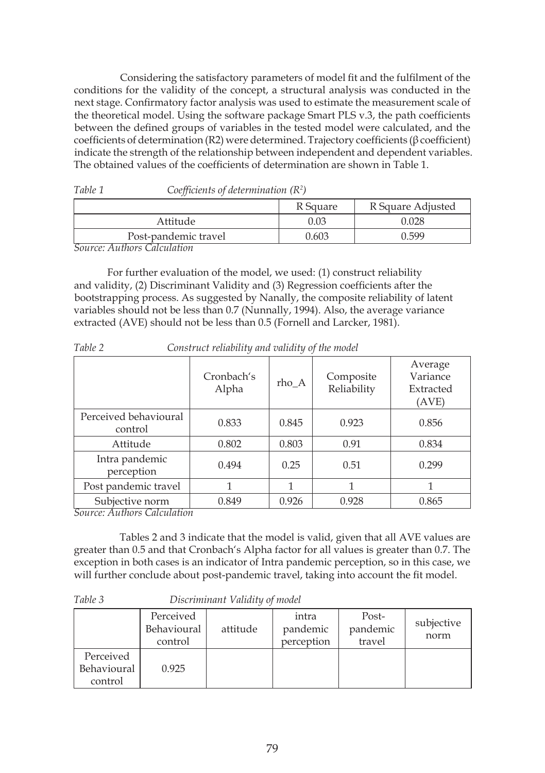Considering the satisfactory parameters of model fit and the fulfilment of the conditions for the validity of the concept, a structural analysis was conducted in the next stage. Confirmatory factor analysis was used to estimate the measurement scale of the theoretical model. Using the software package Smart PLS v.3, the path coefficients between the defined groups of variables in the tested model were calculated, and the coefficients of determination (R2) were determined. Trajectory coefficients (β coefficient) indicate the strength of the relationship between independent and dependent variables. The obtained values of the coefficients of determination are shown in Table 1.

|                      | R Square | R Square Adjusted |
|----------------------|----------|-------------------|
| Attitude             | 0.03     | 0.028             |
| Post-pandemic travel | 0.603    | 0.599             |
|                      |          |                   |

*Table 1 Coefficients of determination (R<sup>2</sup> )*

*Source: Authors Calculation*

 For further evaluation of the model, we used: (1) construct reliability and validity, (2) Discriminant Validity and (3) Regression coefficients after the bootstrapping process. As suggested by Nanally, the composite reliability of latent variables should not be less than 0.7 (Nunnally, 1994). Also, the average variance extracted (AVE) should not be less than 0.5 (Fornell and Larcker, 1981).

|                                                                        | Cronbach's<br>Alpha | rho_A | Composite<br>Reliability | Average<br>Variance<br>Extracted<br>(AVE) |
|------------------------------------------------------------------------|---------------------|-------|--------------------------|-------------------------------------------|
| Perceived behavioural<br>control                                       | 0.833               | 0.845 | 0.923                    | 0.856                                     |
| Attitude<br>0.802                                                      |                     | 0.803 | 0.91                     | 0.834                                     |
| Intra pandemic<br>0.494<br>perception                                  |                     | 0.25  | 0.51                     | 0.299                                     |
| Post pandemic travel                                                   |                     |       |                          |                                           |
| Subjective norm<br>$\overline{c}$ and $\overline{c}$ in $\overline{c}$ | 0.849               | 0.926 | 0.928                    | 0.865                                     |

*Table 2 Construct reliability and validity of the model*

*Source: Authors Calculation*

Tables 2 and 3 indicate that the model is valid, given that all AVE values are greater than 0.5 and that Cronbach's Alpha factor for all values is greater than 0.7. The exception in both cases is an indicator of Intra pandemic perception, so in this case, we will further conclude about post-pandemic travel, taking into account the fit model.

|--|--|

*Table 3 Discriminant Validity of model*

|                                     | Perceived<br>Behavioural<br>control | attitude | intra<br>pandemic<br>perception | Post-<br>pandemic<br>travel | subjective<br>norm |
|-------------------------------------|-------------------------------------|----------|---------------------------------|-----------------------------|--------------------|
| Perceived<br>Behavioural<br>control | 0.925                               |          |                                 |                             |                    |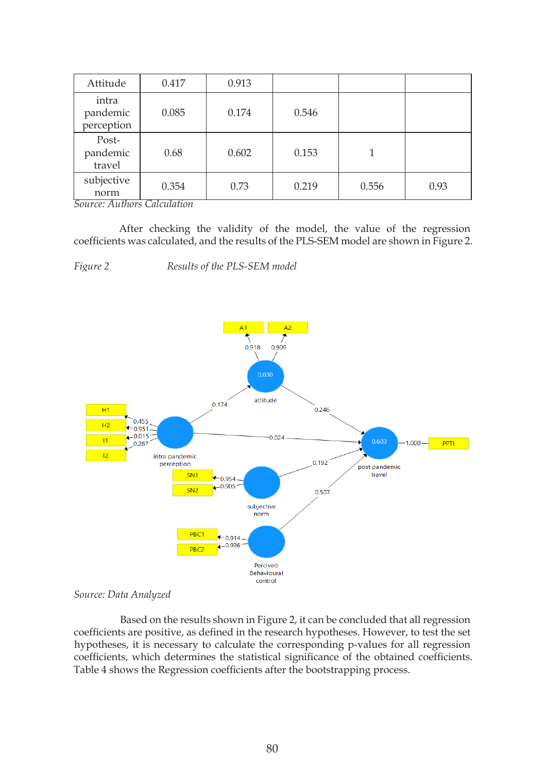| Attitude                        | 0.417                                                         | 0.913 |       |       |      |
|---------------------------------|---------------------------------------------------------------|-------|-------|-------|------|
| intra<br>pandemic<br>perception | 0.085                                                         | 0.174 | 0.546 |       |      |
| Post-<br>pandemic<br>travel     | 0.68                                                          | 0.602 | 0.153 |       |      |
| subjective<br>norm<br>╌         | 0.354<br>$\overline{\phantom{a}}$<br>$\overline{\phantom{a}}$ | 0.73  | 0.219 | 0.556 | 0.93 |

*Source: Authors Calculation*

After checking the validity of the model, the value of the regression coefficients was calculated, and the results of the PLS-SEM model are shown in Figure 2.

*Figure 2 Results of the PLS-SEM model*



## *Source: Data Analyzed*

Based on the results shown in Figure 2, it can be concluded that all regression coefficients are positive, as defined in the research hypotheses. However, to test the set hypotheses, it is necessary to calculate the corresponding p-values for all regression coefficients, which determines the statistical significance of the obtained coefficients. Table 4 shows the Regression coefficients after the bootstrapping process.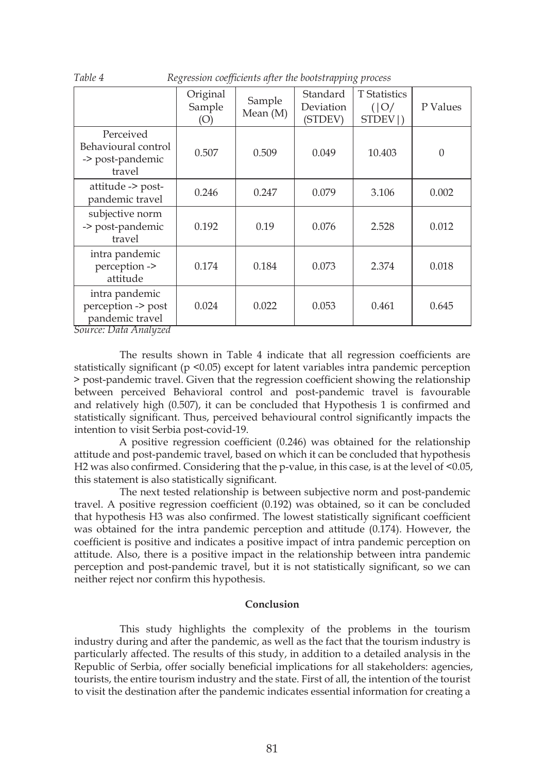|                                                                | Original<br>Sample<br>(O) | Sample<br>Mean (M) | Standard<br>Deviation<br>(STDEV) | <b>T</b> Statistics<br>( O )<br>STDEV  ) | P Values |
|----------------------------------------------------------------|---------------------------|--------------------|----------------------------------|------------------------------------------|----------|
| Perceived<br>Behavioural control<br>-> post-pandemic<br>travel | 0.507                     | 0.509              | 0.049                            | 10.403                                   | $\Omega$ |
| attitude -> post-<br>pandemic travel                           | 0.246                     | 0.247              | 0.079                            | 3.106                                    | 0.002    |
| subjective norm<br>-> post-pandemic<br>travel                  | 0.192                     | 0.19               | 0.076                            | 2.528                                    | 0.012    |
| intra pandemic<br>perception -><br>attitude                    | 0.174                     | 0.184              | 0.073                            | 2.374                                    | 0.018    |
| intra pandemic<br>perception -> post<br>pandemic travel        | 0.024                     | 0.022              | 0.053                            | 0.461                                    | 0.645    |

*Table 4 Regression coefficients after the bootstrapping process*

*Source: Data Analyzed*

The results shown in Table 4 indicate that all regression coefficients are statistically significant ( $p \le 0.05$ ) except for latent variables intra pandemic perception > post-pandemic travel. Given that the regression coefficient showing the relationship between perceived Behavioral control and post-pandemic travel is favourable and relatively high (0.507), it can be concluded that Hypothesis 1 is confirmed and statistically significant. Thus, perceived behavioural control significantly impacts the intention to visit Serbia post-covid-19.

A positive regression coefficient (0.246) was obtained for the relationship attitude and post-pandemic travel, based on which it can be concluded that hypothesis H2 was also confirmed. Considering that the p-value, in this case, is at the level of <0.05, this statement is also statistically significant.

The next tested relationship is between subjective norm and post-pandemic travel. A positive regression coefficient (0.192) was obtained, so it can be concluded that hypothesis H3 was also confirmed. The lowest statistically significant coefficient was obtained for the intra pandemic perception and attitude (0.174). However, the coefficient is positive and indicates a positive impact of intra pandemic perception on attitude. Also, there is a positive impact in the relationship between intra pandemic perception and post-pandemic travel, but it is not statistically significant, so we can neither reject nor confirm this hypothesis.

## **Conclusion**

This study highlights the complexity of the problems in the tourism industry during and after the pandemic, as well as the fact that the tourism industry is particularly affected. The results of this study, in addition to a detailed analysis in the Republic of Serbia, offer socially beneficial implications for all stakeholders: agencies, tourists, the entire tourism industry and the state. First of all, the intention of the tourist to visit the destination after the pandemic indicates essential information for creating a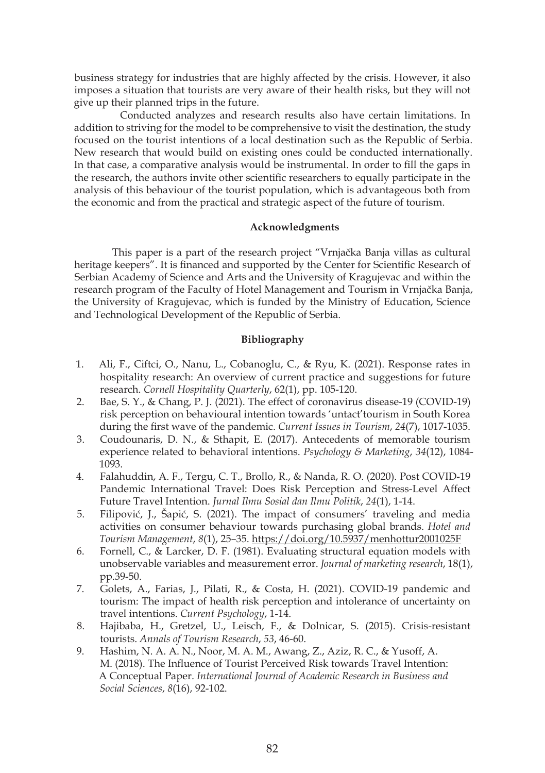business strategy for industries that are highly affected by the crisis. However, it also imposes a situation that tourists are very aware of their health risks, but they will not give up their planned trips in the future.

Conducted analyzes and research results also have certain limitations. In addition to striving for the model to be comprehensive to visit the destination, the study focused on the tourist intentions of a local destination such as the Republic of Serbia. New research that would build on existing ones could be conducted internationally. In that case, a comparative analysis would be instrumental. In order to fill the gaps in the research, the authors invite other scientific researchers to equally participate in the analysis of this behaviour of the tourist population, which is advantageous both from the economic and from the practical and strategic aspect of the future of tourism.

## **Acknowledgments**

 This paper is a part of the research project "Vrnjačka Banja villas as cultural heritage keepers". It is financed and supported by the Center for Scientific Research of Serbian Academy of Science and Arts and the University of Kragujevac and within the research program of the Faculty of Hotel Management and Tourism in Vrnjačka Banja, the University of Kragujevac, which is funded by the Ministry of Education, Science and Technological Development of the Republic of Serbia.

## **Bibliography**

- 1. Ali, F., Ciftci, O., Nanu, L., Cobanoglu, C., & Ryu, K. (2021). Response rates in hospitality research: An overview of current practice and suggestions for future research. *Cornell Hospitality Quarterly*, 62(1), pp. 105-120.
- 2. Bae, S. Y., & Chang, P. J. (2021). The effect of coronavirus disease-19 (COVID-19) risk perception on behavioural intention towards 'untact'tourism in South Korea during the first wave of the pandemic. *Current Issues in Tourism*, *24*(7), 1017-1035.
- 3. Coudounaris, D. N., & Sthapit, E. (2017). Antecedents of memorable tourism experience related to behavioral intentions. *Psychology & Marketing*, *34*(12), 1084- 1093.
- 4. Falahuddin, A. F., Tergu, C. T., Brollo, R., & Nanda, R. O. (2020). Post COVID-19 Pandemic International Travel: Does Risk Perception and Stress-Level Affect Future Travel Intention. *Jurnal Ilmu Sosial dan Ilmu Politik*, *24*(1), 1-14.
- 5. Filipović, J., Šapić, S. (2021). The impact of consumers' traveling and media activities on consumer behaviour towards purchasing global brands. *Hotel and Tourism Management*, *8*(1), 25–35. https://doi.org/10.5937/menhottur2001025F
- 6. Fornell, C., & Larcker, D. F. (1981). Evaluating structural equation models with unobservable variables and measurement error. *Journal of marketing research*, 18(1), pp.39-50.
- 7. Golets, A., Farias, J., Pilati, R., & Costa, H. (2021). COVID-19 pandemic and tourism: The impact of health risk perception and intolerance of uncertainty on travel intentions. *Current Psychology*, 1-14.
- 8. Hajibaba, H., Gretzel, U., Leisch, F., & Dolnicar, S. (2015). Crisis-resistant tourists. *Annals of Tourism Research*, *53*, 46-60.
- 9. Hashim, N. A. A. N., Noor, M. A. M., Awang, Z., Aziz, R. C., & Yusoff, A. M. (2018). The Influence of Tourist Perceived Risk towards Travel Intention: A Conceptual Paper. *International Journal of Academic Research in Business and Social Sciences*, *8*(16), 92-102.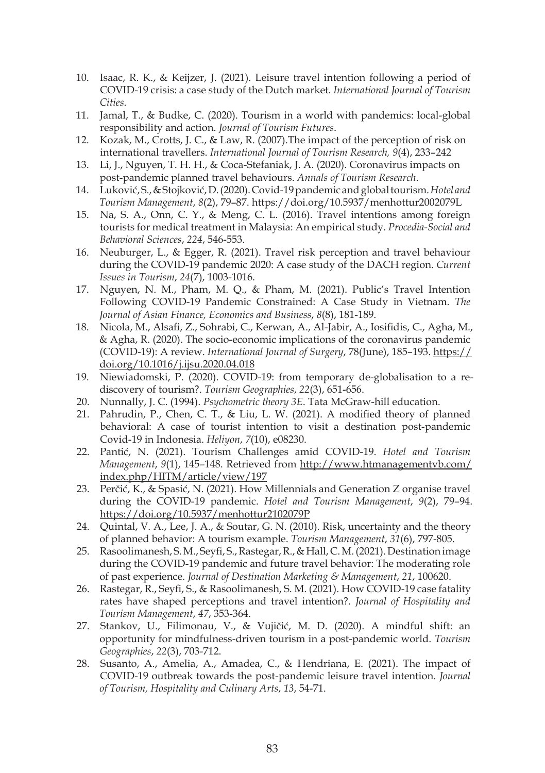- 10. Isaac, R. K., & Keijzer, J. (2021). Leisure travel intention following a period of COVID-19 crisis: a case study of the Dutch market. *International Journal of Tourism Cities*.
- 11. Jamal, T., & Budke, C. (2020). Tourism in a world with pandemics: local-global responsibility and action. *Journal of Tourism Futures*.
- 12. Kozak, M., Crotts, J. C., & Law, R. (2007).The impact of the perception of risk on international travellers. *International Journal of Tourism Research, 9*(4), 233–242
- 13. Li, J., Nguyen, T. H. H., & Coca-Stefaniak, J. A. (2020). Coronavirus impacts on post-pandemic planned travel behaviours. *Annals of Tourism Research*.
- 14. Luković, S., & Stojković, D. (2020). Covid-19 pandemic and global tourism.*Hotel and Tourism Management*, *8*(2), 79–87. https://doi.org/10.5937/menhottur2002079L
- 15. Na, S. A., Onn, C. Y., & Meng, C. L. (2016). Travel intentions among foreign tourists for medical treatment in Malaysia: An empirical study. *Procedia-Social and Behavioral Sciences*, *224*, 546-553.
- 16. Neuburger, L., & Egger, R. (2021). Travel risk perception and travel behaviour during the COVID-19 pandemic 2020: A case study of the DACH region. *Current Issues in Tourism*, *24*(7), 1003-1016.
- 17. Nguyen, N. M., Pham, M. Q., & Pham, M. (2021). Public's Travel Intention Following COVID-19 Pandemic Constrained: A Case Study in Vietnam. *The Journal of Asian Finance, Economics and Business*, *8*(8), 181-189.
- 18. Nicola, M., Alsafi, Z., Sohrabi, C., Kerwan, A., Al-Jabir, A., Iosifidis, C., Agha, M., & Agha, R. (2020). The socio-economic implications of the coronavirus pandemic (COVID-19): A review. *International Journal of Surgery*, 78(June), 185–193. https:// doi.org/10.1016/j.ijsu.2020.04.018
- 19. Niewiadomski, P. (2020). COVID-19: from temporary de-globalisation to a rediscovery of tourism?. *Tourism Geographies*, *22*(3), 651-656.
- 20. Nunnally, J. C. (1994). *Psychometric theory 3E*. Tata McGraw-hill education.
- 21. Pahrudin, P., Chen, C. T., & Liu, L. W. (2021). A modified theory of planned behavioral: A case of tourist intention to visit a destination post-pandemic Covid-19 in Indonesia. *Heliyon*, *7*(10), e08230.
- 22. Pantić, N. (2021). Tourism Challenges amid COVID-19. *Hotel and Tourism Management*, *9*(1), 145–148. Retrieved from http://www.htmanagementvb.com/ index.php/HITM/article/view/197
- 23. Perčić, K., & Spasić, N. (2021). How Millennials and Generation Z organise travel during the COVID-19 pandemic. *Hotel and Tourism Management*, *9*(2), 79–94. https://doi.org/10.5937/menhottur2102079P
- 24. Quintal, V. A., Lee, J. A., & Soutar, G. N. (2010). Risk, uncertainty and the theory of planned behavior: A tourism example. *Tourism Management*, *31*(6), 797-805.
- 25. Rasoolimanesh, S. M., Seyfi, S., Rastegar, R., & Hall, C. M. (2021). Destination image during the COVID-19 pandemic and future travel behavior: The moderating role of past experience. *Journal of Destination Marketing & Management*, *21*, 100620.
- 26. Rastegar, R., Seyfi, S., & Rasoolimanesh, S. M. (2021). How COVID-19 case fatality rates have shaped perceptions and travel intention?. *Journal of Hospitality and Tourism Management*, *47*, 353-364.
- 27. Stankov, U., Filimonau, V., & Vujičić, M. D. (2020). A mindful shift: an opportunity for mindfulness-driven tourism in a post-pandemic world. *Tourism Geographies*, *22*(3), 703-712.
- 28. Susanto, A., Amelia, A., Amadea, C., & Hendriana, E. (2021). The impact of COVID-19 outbreak towards the post-pandemic leisure travel intention. *Journal of Tourism, Hospitality and Culinary Arts*, *13*, 54-71.